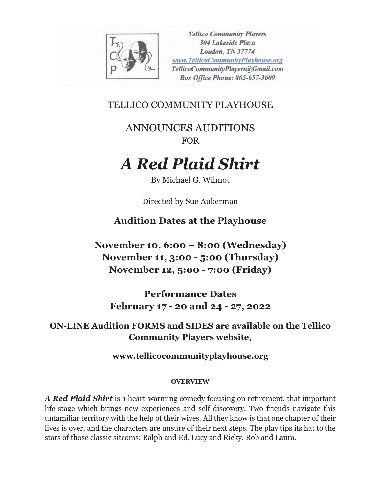

**Tellico Community Players 304 Lakeside Plaza** Loudon, TN 37774 www.TellicoCommunityPlayhouse.org TellicoCommunityPlayers@Gmail.com **Box Office Phone: 865-657-3609** 

TELLICO COMMUNITY PLAYHOUSE

ANNOUNCES AUDITIONS FOR

## *A Red Plaid Shirt*

By Michael G. Wilmot

Directed by Sue Aukerman

**Audition Dates at the Playhouse**

**November 10, 6:00 – 8:00 (Wednesday) November 11, 3:00 - 5:00 (Thursday) November 12, 5:00 - 7:00 (Friday)**

**Performance Dates February 17 - 20 and 24 - 27, 2022**

**ON-LINE Audition FORMS and SIDES are available on the Tellico Community Players website,** 

**[www.tellicocommunityplayhouse.org](http://www.tellicocommunityplayhouse.org/)**

## **OVERVIEW**

*A Red Plaid Shirt* is a heart-warming comedy focusing on retirement, that important life-stage which brings new experiences and self-discovery. Two friends navigate this unfamiliar territory with the help of their wives. All they know is that one chapter of their lives is over, and the characters are unsure of their next steps. The play tips its hat to the stars of those classic sitcoms: Ralph and Ed, Lucy and Ricky, Rob and Laura.